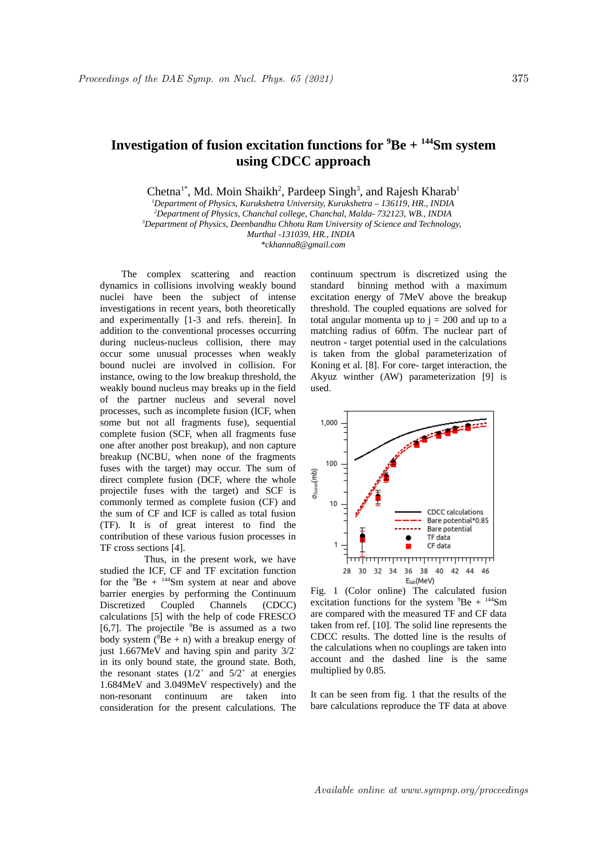## **Investigation of fusion excitation functions for <sup>9</sup>Be + <sup>144</sup>Sm system using CDCC approach**

Chetna<sup>1\*</sup>, Md. Moin Shaikh<sup>2</sup>, Pardeep Singh<sup>3</sup>, and Rajesh Kharab<sup>1</sup>

*<sup>1</sup>Department of Physics, Kurukshetra University, Kurukshetra – 136119, HR., INDIA <sup>2</sup>Department of Physics, Chanchal college, Chanchal, Malda- 732123, WB., INDIA <sup>3</sup>Department of Physics, Deenbandhu Chhotu Ram University of Science and Technology,* 

*Murthal -131039, HR., INDIA \*ckhanna8@gmail.com*

The complex scattering and reaction dynamics in collisions involving weakly bound nuclei have been the subject of intense investigations in recent years, both theoretically and experimentally [1-3 and refs. therein]. In addition to the conventional processes occurring during nucleus-nucleus collision, there may occur some unusual processes when weakly bound nuclei are involved in collision. For instance, owing to the low breakup threshold, the weakly bound nucleus may breaks up in the field of the partner nucleus and several novel processes, such as incomplete fusion (ICF, when some but not all fragments fuse), sequential complete fusion (SCF, when all fragments fuse one after another post breakup), and non capture breakup (NCBU, when none of the fragments fuses with the target) may occur. The sum of direct complete fusion (DCF, where the whole projectile fuses with the target) and SCF is commonly termed as complete fusion (CF) and the sum of CF and ICF is called as total fusion (TF). It is of great interest to find the contribution of these various fusion processes in TF cross sections [4].

 Thus, in the present work, we have studied the ICF, CF and TF excitation function for the  ${}^{9}Be + {}^{144}Sm$  system at near and above barrier energies by performing the Continuum Discretized Coupled Channels (CDCC) calculations [5] with the help of code FRESCO [6,7]. The projectile  $9Be$  is assumed as a two body system ( ${}^{8}$ Be + n) with a breakup energy of just 1.667MeV and having spin and parity 3/2 in its only bound state, the ground state. Both, the resonant states  $(1/2^+$  and  $5/2^+$  at energies 1.684MeV and 3.049MeV respectively) and the non-resonant continuum are taken into consideration for the present calculations. The

continuum spectrum is discretized using the standard binning method with a maximum excitation energy of 7MeV above the breakup threshold. The coupled equations are solved for total angular momenta up to  $i = 200$  and up to a matching radius of 60fm. The nuclear part of neutron - target potential used in the calculations is taken from the global parameterization of Koning et al. [8]. For core- target interaction, the Akyuz winther (AW) parameterization [9] is used.



Fig. 1 (Color online) The calculated fusion excitation functions for the system  $^{9}Be + ^{144}Sm$ are compared with the measured TF and CF data taken from ref. [10]. The solid line represents the CDCC results. The dotted line is the results of the calculations when no couplings are taken into account and the dashed line is the same multiplied by 0.85.

It can be seen from fig. 1 that the results of the bare calculations reproduce the TF data at above